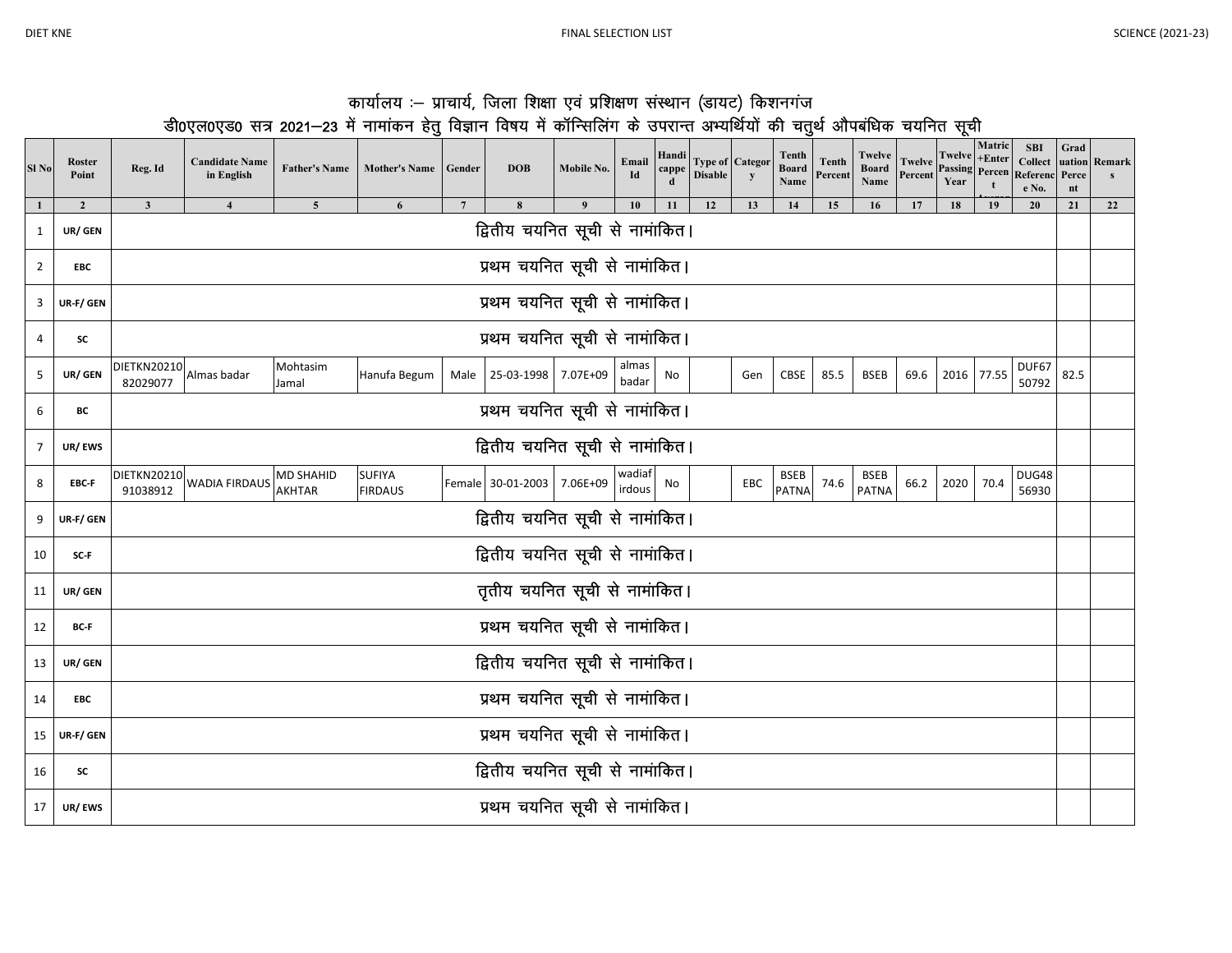|--|--|

- I  $SI$  No

| डी0एल0एड0 सत्र 2021–23 में नामांकन हेतू विज्ञान विषय में कॉन्सिलिंग के उपरान्त अभ्यर्थियों की चतुर्थ औपबंधिक चयनित सूची |                 |                                |                                     |                                   |                                 |                |                                 |            |                  |    |    |                                             |                               |                  |                             |      |            |        |                                                                                                                                                  |            |    |
|-------------------------------------------------------------------------------------------------------------------------|-----------------|--------------------------------|-------------------------------------|-----------------------------------|---------------------------------|----------------|---------------------------------|------------|------------------|----|----|---------------------------------------------|-------------------------------|------------------|-----------------------------|------|------------|--------|--------------------------------------------------------------------------------------------------------------------------------------------------|------------|----|
| SI No                                                                                                                   | Roster<br>Point | Reg. Id                        | <b>Candidate Name</b><br>in English | <b>Father's Name</b>              | Mother's Name Gender            |                | <b>DOB</b>                      | Mobile No. | Email<br>Id      |    |    | Handi<br>cappe Type of Categor<br>Disable y | Tenth<br><b>Board</b><br>Name | Tenth<br>Percent | Name                        |      | Year       | Matric | <b>SBI</b><br>Twelve Twelve Twelve +Enter Collect uation<br>Board Percent Passing Percen Referenc Perce<br><b>Collect</b> uation Remark<br>e No. | Grad<br>nt |    |
|                                                                                                                         | $\overline{2}$  | 3                              |                                     | 5                                 | 6                               | $\overline{7}$ | 8                               | 9          | 10               | 11 | 12 | 13                                          | 14                            | 15               | 16                          | 17   | 18         | 19     | 20                                                                                                                                               | 21         | 22 |
| 1                                                                                                                       | UR/ GEN         |                                |                                     |                                   |                                 |                | द्वितीय चयनित सूची से नामांकित। |            |                  |    |    |                                             |                               |                  |                             |      |            |        |                                                                                                                                                  |            |    |
| $\overline{2}$                                                                                                          | <b>EBC</b>      |                                |                                     |                                   |                                 |                | प्रथम चयनित सूची से नामांकित।   |            |                  |    |    |                                             |                               |                  |                             |      |            |        |                                                                                                                                                  |            |    |
| 3                                                                                                                       | UR-F/ GEN       | प्रथम चयनित सूची से नामांकित।  |                                     |                                   |                                 |                |                                 |            |                  |    |    |                                             |                               |                  |                             |      |            |        |                                                                                                                                                  |            |    |
| $\overline{4}$                                                                                                          | <b>SC</b>       | प्रथम चयनित सूची से नामांकित।  |                                     |                                   |                                 |                |                                 |            |                  |    |    |                                             |                               |                  |                             |      |            |        |                                                                                                                                                  |            |    |
| 5                                                                                                                       | UR/ GEN         | <b>DIETKN20210</b><br>82029077 | Almas badar                         | Mohtasim<br>Jamal                 | Hanufa Begum                    | Male           | 25-03-1998 7.07E+09             |            | almas<br>badar   | No |    | Gen                                         | CBSE                          | 85.5             | <b>BSEB</b>                 | 69.6 | 2016 77.55 |        | DUF67<br>50792                                                                                                                                   | 82.5       |    |
| 6                                                                                                                       | ВC              |                                |                                     |                                   |                                 |                | प्रथम चयनित सूची से नामांकित।   |            |                  |    |    |                                             |                               |                  |                             |      |            |        |                                                                                                                                                  |            |    |
| $\overline{7}$                                                                                                          | UR/EWS          |                                |                                     |                                   |                                 |                | द्वितीय चयनित सूची से नामांकित। |            |                  |    |    |                                             |                               |                  |                             |      |            |        |                                                                                                                                                  |            |    |
| 8                                                                                                                       | EBC-F           | DIETKN20210<br>91038912        | <b>WADIA FIRDAUS</b>                | <b>MD SHAHID</b><br><b>AKHTAR</b> | <b>SUFIYA</b><br><b>FIRDAUS</b> |                | Female 30-01-2003 7.06E+09      |            | wadiaf<br>irdous | No |    | EBC                                         | BSEB<br><b>PATNA</b>          | 74.6             | <b>BSEB</b><br><b>PATNA</b> | 66.2 | 2020       | 70.4   | DUG48<br>56930                                                                                                                                   |            |    |
| 9                                                                                                                       | UR-F/ GEN       |                                |                                     |                                   |                                 |                | द्वितीय चयनित सूची से नामांकित। |            |                  |    |    |                                             |                               |                  |                             |      |            |        |                                                                                                                                                  |            |    |
|                                                                                                                         |                 |                                |                                     |                                   |                                 |                |                                 |            |                  |    |    |                                             |                               |                  |                             |      |            |        |                                                                                                                                                  |            |    |

## कार्यालय :- प्राचार्य, जिला शिक्षा एवं प्रशिक्षण संस्थान (डायट) किशनगंज

| 4              | SC           | प्रथम चयनित सूची से नामांकित।<br>almas                                                                                                                                                                                                                                                                    |      |  |  |  |  |  |  |  |  |  |  |  |  |
|----------------|--------------|-----------------------------------------------------------------------------------------------------------------------------------------------------------------------------------------------------------------------------------------------------------------------------------------------------------|------|--|--|--|--|--|--|--|--|--|--|--|--|
| 5              | UR/ GEN      | DIETKN20210 Almas badar<br>Mohtasim<br>DUF67<br>Male 25-03-1998<br>Hanufa Begum<br>7.07E+09<br>2016 77.55<br>CBSE<br>85.5<br><b>BSEB</b><br>69.6<br>Gen<br>No<br>badar<br>50792<br>82029077<br>Jamal                                                                                                      | 82.5 |  |  |  |  |  |  |  |  |  |  |  |  |
| 6              | BC           | प्रथम चयनित सूची से नामांकित।                                                                                                                                                                                                                                                                             |      |  |  |  |  |  |  |  |  |  |  |  |  |
| $\overline{7}$ | UR/EWS       | द्वितीय चयनित सूची से नामांकित।                                                                                                                                                                                                                                                                           |      |  |  |  |  |  |  |  |  |  |  |  |  |
| 8              | EBC-F        | wadiaf<br><b>DIETKN20210</b><br><b>MD SHAHID</b><br><b>SUFIYA</b><br><b>BSEB</b><br><b>BSEB</b><br>DUG48<br>Female 30-01-2003<br>74.6<br>70.4<br><b>WADIA FIRDAUS</b><br>7.06E+09<br>EBC<br>2020<br>66.2<br>No<br>irdous<br>56930<br>91038912<br><b>PATNA</b><br>PATNA<br><b>AKHTAR</b><br><b>FIRDAUS</b> |      |  |  |  |  |  |  |  |  |  |  |  |  |
| 9              | UR-F/ GEN    | द्वितीय चयनित सूची से नामांकित।                                                                                                                                                                                                                                                                           |      |  |  |  |  |  |  |  |  |  |  |  |  |
| 10             | SC-F         | द्वितीय चयनित सूची से नामांकित।                                                                                                                                                                                                                                                                           |      |  |  |  |  |  |  |  |  |  |  |  |  |
| 11             | UR/ GEN      | तृतीय चयनित सूची से नामांकित।                                                                                                                                                                                                                                                                             |      |  |  |  |  |  |  |  |  |  |  |  |  |
| 12             | <b>BC-F</b>  | प्रथम चयनित सूची से नामांकित।                                                                                                                                                                                                                                                                             |      |  |  |  |  |  |  |  |  |  |  |  |  |
| 13             | UR/ GEN      | द्वितीय चयनित सूची से नामांकित।                                                                                                                                                                                                                                                                           |      |  |  |  |  |  |  |  |  |  |  |  |  |
| 14             | <b>EBC</b>   | प्रथम चयनित सूची से नामांकित।                                                                                                                                                                                                                                                                             |      |  |  |  |  |  |  |  |  |  |  |  |  |
|                | 15 UR-F/ GEN | प्रथम चयनित सूची से नामांकित।                                                                                                                                                                                                                                                                             |      |  |  |  |  |  |  |  |  |  |  |  |  |
| 16             | SC           | द्वितीय चयनित सूची से नामांकित।                                                                                                                                                                                                                                                                           |      |  |  |  |  |  |  |  |  |  |  |  |  |
| 17             | UR/EWS       | प्रथम चयनित सूची से नामांकित।                                                                                                                                                                                                                                                                             |      |  |  |  |  |  |  |  |  |  |  |  |  |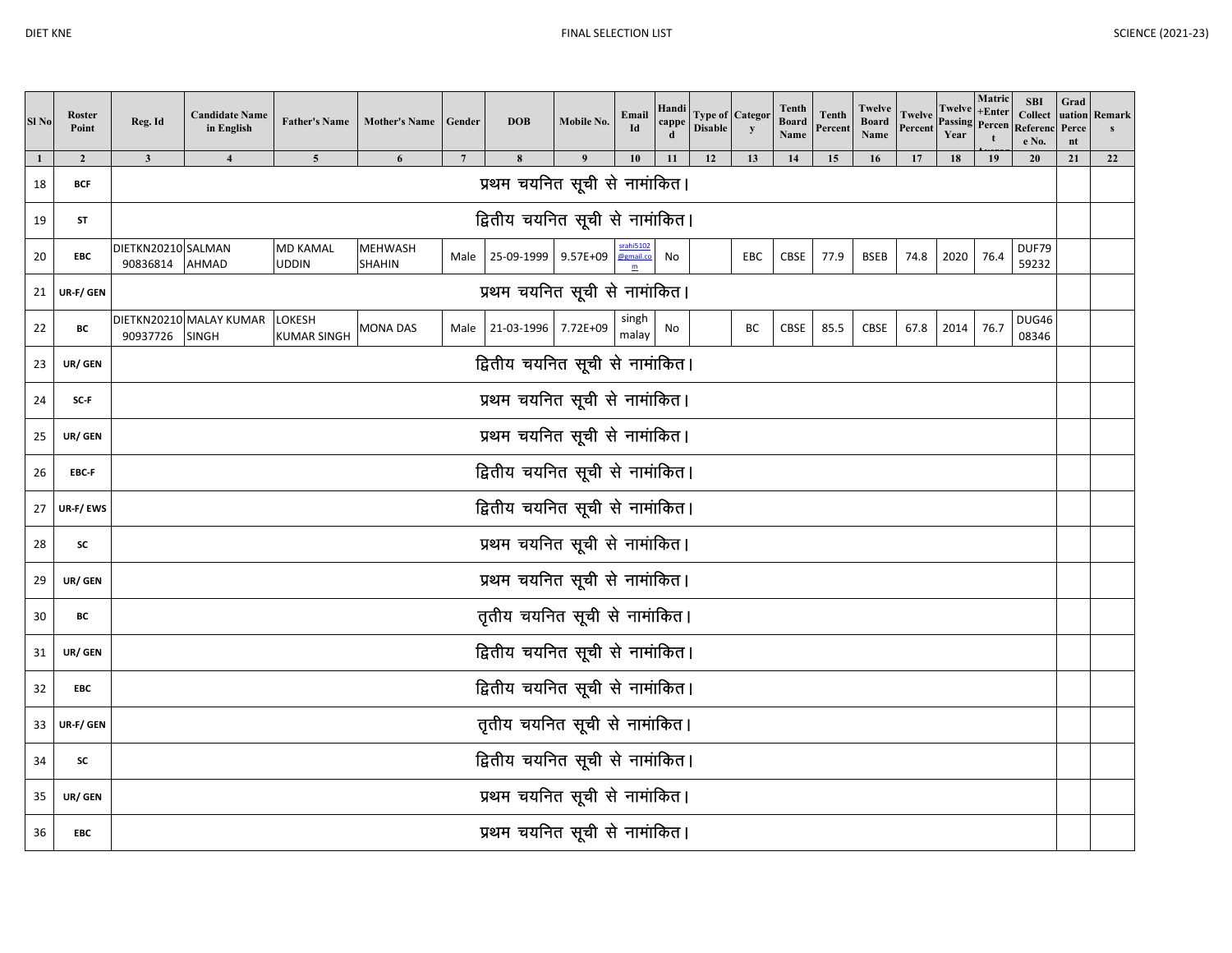| Sl <sub>No</sub> | <b>Roster</b><br>Point | Reg. Id                         | <b>Candidate Name</b><br>in English     | <b>Father's Name</b>                | <b>Mother's Name</b>            | Gender          | <b>DOB</b>                      | Mobile No. | Email<br>Id           | Handi<br>cappe | <b>Disable</b> | <b>Type of Categor</b><br>y | Tenth<br><b>Board</b><br>Name | <b>Tenth</b><br>Percent | Twelve<br><b>Board</b><br>Name | <b>Twelve</b><br>Percent | Twelve<br><b>Passing Percen</b><br>Year | Matric<br>+Enter | <b>SBI</b><br>Collect<br>Referenc<br>e No. | Grad<br>Perce<br>nt | uation Remark |
|------------------|------------------------|---------------------------------|-----------------------------------------|-------------------------------------|---------------------------------|-----------------|---------------------------------|------------|-----------------------|----------------|----------------|-----------------------------|-------------------------------|-------------------------|--------------------------------|--------------------------|-----------------------------------------|------------------|--------------------------------------------|---------------------|---------------|
| $\mathbf{1}$     | $\overline{2}$         | $\mathbf{3}$                    | $\overline{4}$                          | $\overline{\mathbf{5}}$             | 6                               | $7\phantom{.0}$ | 8                               | 9          | 10                    | 11             | 12             | 13                          | 14                            | 15                      | 16                             | 17                       | 18                                      | 19               | 20                                         | 21                  | 22            |
| 18               | <b>BCF</b>             |                                 |                                         |                                     |                                 |                 | प्रथम चयनित सूची से नामांकित।   |            |                       |                |                |                             |                               |                         |                                |                          |                                         |                  |                                            |                     |               |
| 19               | ST                     |                                 |                                         |                                     |                                 |                 | द्वितीय चयनित सूची से नामांकित। |            |                       |                |                |                             |                               |                         |                                |                          |                                         |                  |                                            |                     |               |
| 20               | EBC                    | DIETKN20210 SALMAN<br>90836814  | AHMAD                                   | <b>MD KAMAL</b><br><b>UDDIN</b>     | <b>MEHWASH</b><br><b>SHAHIN</b> | Male            | 25-09-1999 9.57E+09             |            | srahi5102<br>@gmail.c | No             |                | EBC                         | CBSE                          | 77.9                    | <b>BSEB</b>                    | 74.8                     | 2020                                    | 76.4             | DUF79<br>59232                             |                     |               |
| 21               | UR-F/ GEN              |                                 |                                         |                                     |                                 |                 | प्रथम चयनित सूची से नामांकित।   |            |                       |                |                |                             |                               |                         |                                |                          |                                         |                  |                                            |                     |               |
| 22               | ВC                     | 90937726                        | DIETKN20210 MALAY KUMAR<br><b>SINGH</b> | <b>LOKESH</b><br><b>KUMAR SINGH</b> | <b>MONA DAS</b>                 |                 | Male 21-03-1996 7.72E+09        |            | singh<br>malay        | No             |                | ВC                          | CBSE                          | 85.5                    | CBSE                           | 67.8                     | 2014                                    | 76.7             | DUG46<br>08346                             |                     |               |
| 23               | UR/ GEN                | द्वितीय चयनित सूची से नामांकित। |                                         |                                     |                                 |                 |                                 |            |                       |                |                |                             |                               |                         |                                |                          |                                         |                  |                                            |                     |               |
| 24               | SC-F                   |                                 |                                         |                                     |                                 |                 | प्रथम चयनित सूची से नामांकित।   |            |                       |                |                |                             |                               |                         |                                |                          |                                         |                  |                                            |                     |               |
| 25               | UR/ GEN                | प्रथम चयनित सूची से नामांकित।   |                                         |                                     |                                 |                 |                                 |            |                       |                |                |                             |                               |                         |                                |                          |                                         |                  |                                            |                     |               |
| 26               | EBC-F                  |                                 |                                         |                                     |                                 |                 | द्वितीय चयनित सूची से नामांकित। |            |                       |                |                |                             |                               |                         |                                |                          |                                         |                  |                                            |                     |               |
| 27               | UR-F/EWS               |                                 |                                         |                                     |                                 |                 | द्वितीय चयनित सूची से नामांकित। |            |                       |                |                |                             |                               |                         |                                |                          |                                         |                  |                                            |                     |               |
| 28               | SC                     |                                 |                                         |                                     |                                 |                 | प्रथम चयनित सूची से नामांकित।   |            |                       |                |                |                             |                               |                         |                                |                          |                                         |                  |                                            |                     |               |
| 29               | UR/ GEN                |                                 |                                         |                                     |                                 |                 | प्रथम चयनित सूची से नामांकित।   |            |                       |                |                |                             |                               |                         |                                |                          |                                         |                  |                                            |                     |               |
| 30               | BС                     |                                 |                                         |                                     |                                 |                 | तृतीय चयनित सूची से नामांकित।   |            |                       |                |                |                             |                               |                         |                                |                          |                                         |                  |                                            |                     |               |
| 31               | UR/ GEN                |                                 |                                         |                                     |                                 |                 | द्वितीय चयनित सूची से नामांकित। |            |                       |                |                |                             |                               |                         |                                |                          |                                         |                  |                                            |                     |               |
| 32               | <b>EBC</b>             |                                 |                                         |                                     |                                 |                 | द्वितीय चयनित सूची से नामांकित। |            |                       |                |                |                             |                               |                         |                                |                          |                                         |                  |                                            |                     |               |
| 33               | UR-F/ GEN              | तृतीय चयनित सूची से नामांकित।   |                                         |                                     |                                 |                 |                                 |            |                       |                |                |                             |                               |                         |                                |                          |                                         |                  |                                            |                     |               |
| 34               | SC                     |                                 |                                         |                                     |                                 |                 | द्वितीय चयनित सूची से नामांकित। |            |                       |                |                |                             |                               |                         |                                |                          |                                         |                  |                                            |                     |               |
| 35               | UR/ GEN                |                                 |                                         |                                     |                                 |                 | प्रथम चयनित सूची से नामांकित।   |            |                       |                |                |                             |                               |                         |                                |                          |                                         |                  |                                            |                     |               |
| 36               | EBC                    |                                 |                                         |                                     |                                 |                 | प्रथम चयनित सूची से नामांकित।   |            |                       |                |                |                             |                               |                         |                                |                          |                                         |                  |                                            |                     |               |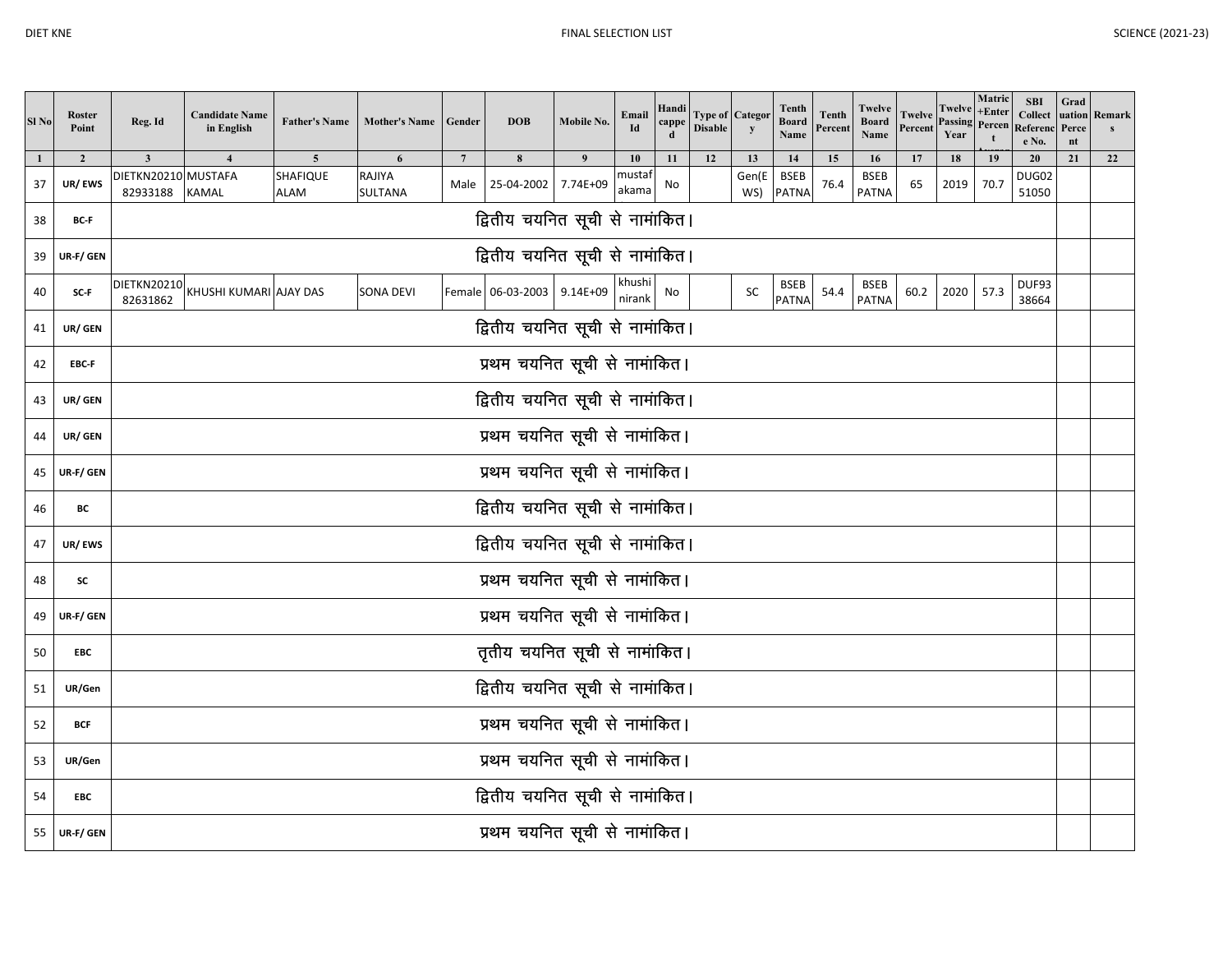| Sl No        | Roster<br>Point | Reg. Id                         | <b>Candidate Name</b><br>in English | <b>Father's Name</b>    | <b>Mother's Name</b> | Gender         | <b>DOB</b>                      | Mobile No. | Email<br>Id      | Handi<br>cappe<br>d | <b>Disable</b> | <b>Type of Categor</b><br>y | Tenth<br><b>Board</b><br>Name | <b>Tenth</b><br>Percent | Twelve<br><b>Board</b><br>Name | <b>Twelve</b><br>Percent | Twelve<br><b>Passing Percen</b><br>Year | Matric<br>$+Enter$ | <b>SBI</b><br>Collect<br>Referenc<br>e No. | Grad<br>Perce<br>nt | uation Remark<br>$\mathbf{s}$ |
|--------------|-----------------|---------------------------------|-------------------------------------|-------------------------|----------------------|----------------|---------------------------------|------------|------------------|---------------------|----------------|-----------------------------|-------------------------------|-------------------------|--------------------------------|--------------------------|-----------------------------------------|--------------------|--------------------------------------------|---------------------|-------------------------------|
| $\mathbf{1}$ | $\overline{2}$  | $\mathbf{3}$                    | $\overline{4}$                      | $\overline{\mathbf{5}}$ | 6                    | $\overline{7}$ | 8                               |            | 10               | 11                  | 12             | 13                          | 14                            | 15                      | 16                             | 17                       | 18                                      | 19                 | 20                                         | 21                  | 22                            |
| 37           | UR/EWS          | DIETKN20210 MUSTAFA<br>82933188 | <b>KAMAL</b>                        | SHAFIQUE<br><b>ALAM</b> | RAJIYA<br>SULTANA    | Male           | 25-04-2002                      | 7.74E+09   | nustal<br>akama  | No                  |                | Gen(E<br>WS)                | <b>BSEB</b><br><b>PATNA</b>   | 76.4                    | <b>BSEB</b><br><b>PATNA</b>    | 65                       | 2019                                    | 70.7               | DUG02<br>51050                             |                     |                               |
| 38           | <b>BC-F</b>     |                                 |                                     |                         |                      |                | द्वितीय चयनित सूची से नामांकित। |            |                  |                     |                |                             |                               |                         |                                |                          |                                         |                    |                                            |                     |                               |
| 39           | UR-F/ GEN       |                                 |                                     |                         |                      |                | द्वितीय चयनित सूची से नामांकित। |            |                  |                     |                |                             |                               |                         |                                |                          |                                         |                    |                                            |                     |                               |
| 40           | SC-F            | DIETKN20210<br>82631862         | KHUSHI KUMARI AJAY DAS              |                         | SONA DEVI            |                | Female 06-03-2003 9.14E+09      |            | khushi<br>nirank | No                  |                | SC                          | <b>BSEB</b><br><b>PATNA</b>   | 54.4                    | <b>BSEB</b><br><b>PATNA</b>    | 60.2                     | 2020                                    | 57.3               | DUF93<br>38664                             |                     |                               |
| 41           | UR/ GEN         | द्वितीय चयनित सूची से नामांकित। |                                     |                         |                      |                |                                 |            |                  |                     |                |                             |                               |                         |                                |                          |                                         |                    |                                            |                     |                               |
| 42           | EBC-F           | प्रथम चयनित सूची से नामांकित।   |                                     |                         |                      |                |                                 |            |                  |                     |                |                             |                               |                         |                                |                          |                                         |                    |                                            |                     |                               |
| 43           | UR/ GEN         | द्वितीय चयनित सूची से नामांकित। |                                     |                         |                      |                |                                 |            |                  |                     |                |                             |                               |                         |                                |                          |                                         |                    |                                            |                     |                               |
| 44           | UR/ GEN         | प्रथम चयनित सूची से नामांकित।   |                                     |                         |                      |                |                                 |            |                  |                     |                |                             |                               |                         |                                |                          |                                         |                    |                                            |                     |                               |
| 45           | UR-F/ GEN       |                                 |                                     |                         |                      |                | प्रथम चयनित सूची से नामांकित।   |            |                  |                     |                |                             |                               |                         |                                |                          |                                         |                    |                                            |                     |                               |
| 46           | BC              |                                 |                                     |                         |                      |                | द्वितीय चयनित सूची से नामांकित। |            |                  |                     |                |                             |                               |                         |                                |                          |                                         |                    |                                            |                     |                               |
| 47           | UR/EWS          |                                 |                                     |                         |                      |                | द्वितीय चयनित सूची से नामांकित। |            |                  |                     |                |                             |                               |                         |                                |                          |                                         |                    |                                            |                     |                               |
| 48           | SC              |                                 |                                     |                         |                      |                | प्रथम चयनित सूची से नामांकित।   |            |                  |                     |                |                             |                               |                         |                                |                          |                                         |                    |                                            |                     |                               |
| 49           | UR-F/ GEN       |                                 |                                     |                         |                      |                | प्रथम चयनित सूची से नामांकित।   |            |                  |                     |                |                             |                               |                         |                                |                          |                                         |                    |                                            |                     |                               |
| 50           | <b>EBC</b>      |                                 |                                     |                         |                      |                | तृतीय चयनित सूची से नामांकित।   |            |                  |                     |                |                             |                               |                         |                                |                          |                                         |                    |                                            |                     |                               |
| 51           | UR/Gen          |                                 |                                     |                         |                      |                | द्वितीय चयनित सूची से नामांकित। |            |                  |                     |                |                             |                               |                         |                                |                          |                                         |                    |                                            |                     |                               |
| 52           | <b>BCF</b>      | प्रथम चयनित सूची से नामांकित।   |                                     |                         |                      |                |                                 |            |                  |                     |                |                             |                               |                         |                                |                          |                                         |                    |                                            |                     |                               |
| 53           | UR/Gen          | प्रथम चयनित सूची से नामांकित।   |                                     |                         |                      |                |                                 |            |                  |                     |                |                             |                               |                         |                                |                          |                                         |                    |                                            |                     |                               |
| 54           | <b>EBC</b>      |                                 |                                     |                         |                      |                | द्वितीय चयनित सूची से नामांकित। |            |                  |                     |                |                             |                               |                         |                                |                          |                                         |                    |                                            |                     |                               |
|              | 55 UR-F/ GEN    |                                 |                                     |                         |                      |                | प्रथम चयनित सूची से नामांकित।   |            |                  |                     |                |                             |                               |                         |                                |                          |                                         |                    |                                            |                     |                               |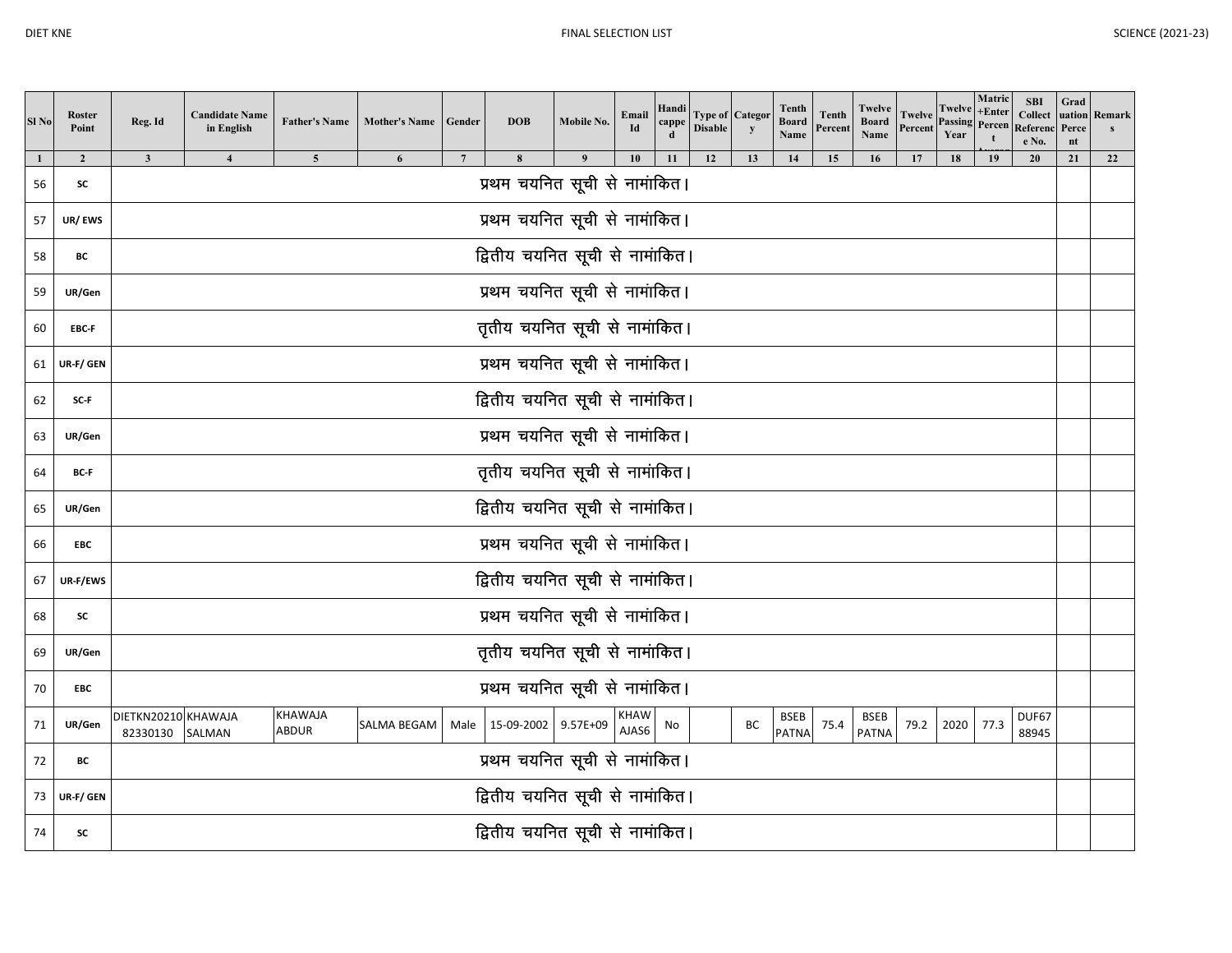| Sl No              | Roster<br>Point      | Reg. Id                         | <b>Candidate Name</b><br>in English | <b>Father's Name</b>           | <b>Mother's Name</b> | Gender          | <b>DOB</b>                         | Mobile No. | Email<br>Id   | Handi<br>cappo<br>$\mathbf d$ | <b>Disable</b> | <b>Type of Categor</b><br>y | Tenth<br><b>Board</b><br>Name | Tenth<br>Percent | Twelve<br><b>Board</b><br>Name | <b>Twelve</b><br>Percent | <b>Twelve</b><br><b>Passing Percen</b><br>Year | Matric<br>$+Enter$ | <b>SBI</b><br><b>Collect</b><br>Referenc<br>e No. | Grad<br>Perce<br>nt | uation Remark |
|--------------------|----------------------|---------------------------------|-------------------------------------|--------------------------------|----------------------|-----------------|------------------------------------|------------|---------------|-------------------------------|----------------|-----------------------------|-------------------------------|------------------|--------------------------------|--------------------------|------------------------------------------------|--------------------|---------------------------------------------------|---------------------|---------------|
| $\mathbf{1}$<br>56 | $\overline{2}$<br>SC | $\mathbf{3}$                    | $\overline{\mathbf{4}}$             | $\overline{\mathbf{5}}$        | 6                    | $7\phantom{.0}$ | 8<br>प्रथम चयनित सूची से नामांकित। |            | 10            | 11                            | 12             | 13                          | 14                            | 15               | 16                             | 17                       | 18                                             | 19                 | 20                                                | 21                  | 22            |
| 57                 | UR/EWS               |                                 |                                     |                                |                      |                 | प्रथम चयनित सूची से नामांकित।      |            |               |                               |                |                             |                               |                  |                                |                          |                                                |                    |                                                   |                     |               |
| 58                 | BC                   |                                 |                                     |                                |                      |                 | द्वितीय चयनित सूची से नामांकित।    |            |               |                               |                |                             |                               |                  |                                |                          |                                                |                    |                                                   |                     |               |
|                    |                      |                                 |                                     |                                |                      |                 |                                    |            |               |                               |                |                             |                               |                  |                                |                          |                                                |                    |                                                   |                     |               |
| 59                 | UR/Gen               |                                 |                                     |                                |                      |                 | प्रथम चयनित सूची से नामांकित।      |            |               |                               |                |                             |                               |                  |                                |                          |                                                |                    |                                                   |                     |               |
| 60                 | EBC-F                |                                 |                                     |                                |                      |                 | तृतीय चयनित सूची से नामांकित।      |            |               |                               |                |                             |                               |                  |                                |                          |                                                |                    |                                                   |                     |               |
| 61                 | UR-F/ GEN            | प्रथम चयनित सूची से नामांकित।   |                                     |                                |                      |                 |                                    |            |               |                               |                |                             |                               |                  |                                |                          |                                                |                    |                                                   |                     |               |
| 62                 | SC-F                 | द्वितीय चयनित सूची से नामांकित। |                                     |                                |                      |                 |                                    |            |               |                               |                |                             |                               |                  |                                |                          |                                                |                    |                                                   |                     |               |
| 63                 | UR/Gen               | प्रथम चयनित सूची से नामांकित।   |                                     |                                |                      |                 |                                    |            |               |                               |                |                             |                               |                  |                                |                          |                                                |                    |                                                   |                     |               |
| 64                 | BC-F                 |                                 |                                     |                                |                      |                 | तृतीय चयनित सूची से नामांकित।      |            |               |                               |                |                             |                               |                  |                                |                          |                                                |                    |                                                   |                     |               |
| 65                 | UR/Gen               |                                 |                                     |                                |                      |                 | द्वितीय चयनित सूची से नामांकित।    |            |               |                               |                |                             |                               |                  |                                |                          |                                                |                    |                                                   |                     |               |
| 66                 | EBC                  |                                 |                                     |                                |                      |                 | प्रथम चयनित सूची से नामांकित।      |            |               |                               |                |                             |                               |                  |                                |                          |                                                |                    |                                                   |                     |               |
| 67                 | UR-F/EWS             |                                 |                                     |                                |                      |                 | द्वितीय चयनित सूची से नामांकित।    |            |               |                               |                |                             |                               |                  |                                |                          |                                                |                    |                                                   |                     |               |
| 68                 | SC                   |                                 |                                     |                                |                      |                 | प्रथम चयनित सूची से नामांकित।      |            |               |                               |                |                             |                               |                  |                                |                          |                                                |                    |                                                   |                     |               |
| 69                 | UR/Gen               |                                 |                                     |                                |                      |                 | तृतीय चयनित सूची से नामांकित।      |            |               |                               |                |                             |                               |                  |                                |                          |                                                |                    |                                                   |                     |               |
| 70                 | EBC                  |                                 |                                     |                                |                      |                 | प्रथम चयनित सूची से नामांकित।      |            |               |                               |                |                             |                               |                  |                                |                          |                                                |                    |                                                   |                     |               |
| 71                 | UR/Gen               | DIETKN20210 KHAWAJA<br>82330130 | SALMAN                              | <b>KHAWAJA</b><br><b>ABDUR</b> | SALMA BEGAM          |                 | Male 15-09-2002                    | 9.57E+09   | KHAW<br>AJAS6 | No                            |                | ВC                          | <b>BSEB</b><br><b>PATNA</b>   | 75.4             | <b>BSEB</b><br><b>PATNA</b>    | 79.2                     | 2020                                           | 77.3               | DUF67<br>88945                                    |                     |               |
| 72                 | BC                   | प्रथम चयनित सूची से नामांकित।   |                                     |                                |                      |                 |                                    |            |               |                               |                |                             |                               |                  |                                |                          |                                                |                    |                                                   |                     |               |
| 73                 | UR-F/ GEN            |                                 |                                     |                                |                      |                 | द्वितीय चयनित सूची से नामांकित।    |            |               |                               |                |                             |                               |                  |                                |                          |                                                |                    |                                                   |                     |               |
| 74                 | SC                   |                                 |                                     |                                |                      |                 | द्वितीय चयनित सूची से नामांकित।    |            |               |                               |                |                             |                               |                  |                                |                          |                                                |                    |                                                   |                     |               |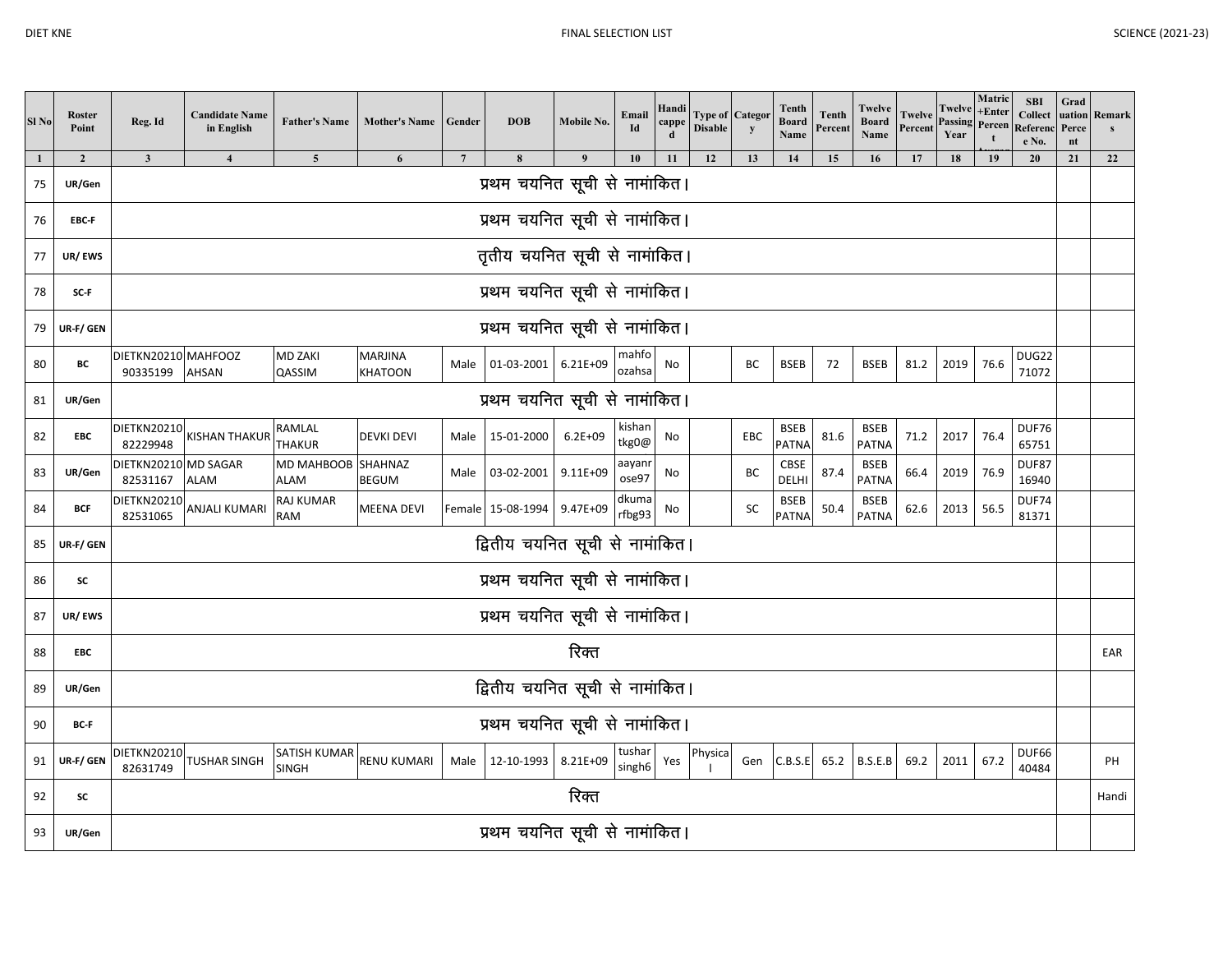| Sl <sub>No</sub>   | Roster<br>Point          | Reg. Id                          | <b>Candidate Name</b><br>in English | <b>Father's Name</b>                | <b>Mother's Name</b>      | Gender          | <b>DOB</b>                         | Mobile No.  | Email<br>Id                  | Handi<br>cappe | <b>Type of Categor</b><br><b>Disable</b> | y   | Tenth<br><b>Board</b><br>Name | <b>Tenth</b><br>Percent | Twelve<br><b>Board</b><br>Name | <b>Twelve</b><br>Percent | <b>Twelve</b><br>Year | Matric<br>$+Enter$<br><b>Passing Percen</b> | <b>SBI</b><br><b>Collect</b><br>Referenc<br>e No. | Grad<br>Perce<br>nt | uation Remark |
|--------------------|--------------------------|----------------------------------|-------------------------------------|-------------------------------------|---------------------------|-----------------|------------------------------------|-------------|------------------------------|----------------|------------------------------------------|-----|-------------------------------|-------------------------|--------------------------------|--------------------------|-----------------------|---------------------------------------------|---------------------------------------------------|---------------------|---------------|
| $\mathbf{1}$<br>75 | $\overline{2}$<br>UR/Gen | $\mathbf{3}$                     | $\boldsymbol{4}$                    | $\overline{\mathbf{5}}$             | 6                         | $7\phantom{.0}$ | 8<br>प्रथम चयनित सूची से नामांकित। |             | 10                           | 11             | 12                                       | 13  | 14                            | 15                      | 16                             | 17                       | 18                    | 19                                          | 20                                                | 21                  | 22            |
| 76                 | EBC-F                    |                                  |                                     |                                     |                           |                 | प्रथम चयनित सूची से नामांकित।      |             |                              |                |                                          |     |                               |                         |                                |                          |                       |                                             |                                                   |                     |               |
| 77                 | UR/EWS                   |                                  |                                     |                                     |                           |                 | तृतीय चयनित सूची से नामांकित।      |             |                              |                |                                          |     |                               |                         |                                |                          |                       |                                             |                                                   |                     |               |
| 78                 | SC-F                     |                                  |                                     |                                     |                           |                 | प्रथम चयनित सूची से नामांकित।      |             |                              |                |                                          |     |                               |                         |                                |                          |                       |                                             |                                                   |                     |               |
| 79                 | UR-F/ GEN                |                                  |                                     |                                     |                           |                 | प्रथम चयनित सूची से नामांकित।      |             |                              |                |                                          |     |                               |                         |                                |                          |                       |                                             |                                                   |                     |               |
| 80                 | BС                       | DIETKN20210 MAHFOOZ<br>90335199  | <b>AHSAN</b>                        | <b>MD ZAKI</b><br>QASSIM            | <b>MARJINA</b><br>KHATOON |                 | Male 01-03-2001 6.21E+09           |             | mahfo<br>ozahsa              | No             |                                          | BC  | <b>BSEB</b>                   | 72                      | <b>BSEB</b>                    | 81.2                     | 2019                  | 76.6                                        | DUG22<br>71072                                    |                     |               |
| 81                 | UR/Gen                   | प्रथम चयनित सूची से नामांकित।    |                                     |                                     |                           |                 |                                    |             |                              |                |                                          |     |                               |                         |                                |                          |                       |                                             |                                                   |                     |               |
| 82                 | EBC                      | DIETKN20210<br>82229948          | <b>KISHAN THAKUR</b>                | RAMLAL<br><b>THAKUR</b>             | DEVKI DEVI                | Male            | 15-01-2000                         | $6.2E + 09$ | kishan<br>tkg0@              | No             |                                          | EBC | <b>BSEB</b><br>PATNA          | 81.6                    | <b>BSEB</b><br><b>PATNA</b>    | 71.2                     | 2017                  | 76.4                                        | <b>DUF76</b><br>65751                             |                     |               |
| 83                 | UR/Gen                   | DIETKN20210 MD SAGAR<br>82531167 | <b>ALAM</b>                         | MD MAHBOOB<br><b>ALAM</b>           | SHAHNAZ<br><b>BEGUM</b>   |                 | Male 03-02-2001                    | 9.11E+09    | aayanr<br>ose97              | No             |                                          | BC  | <b>CBSE</b><br>DELHI          | 87.4                    | <b>BSEB</b><br><b>PATNA</b>    | 66.4                     | 2019                  | 76.9                                        | DUF87<br>16940                                    |                     |               |
| 84                 | <b>BCF</b>               | DIETKN20210<br>82531065          | <b>ANJALI KUMARI</b>                | <b>RAJ KUMAR</b><br><b>RAM</b>      | MEENA DEVI                |                 | Female 15-08-1994 9.47E+09         |             | dkuma<br>rfbg93              | No             |                                          | SC  | <b>BSEB</b><br>PATNA          | 50.4                    | <b>BSEB</b><br><b>PATNA</b>    | 62.6                     | 2013                  | 56.5                                        | DUF74<br>81371                                    |                     |               |
| 85                 | UR-F/ GEN                |                                  |                                     |                                     |                           |                 | द्वितीय चयनित सूची से नामांकित।    |             |                              |                |                                          |     |                               |                         |                                |                          |                       |                                             |                                                   |                     |               |
| 86                 | SC                       |                                  |                                     |                                     |                           |                 | प्रथम चयनित सूची से नामांकित।      |             |                              |                |                                          |     |                               |                         |                                |                          |                       |                                             |                                                   |                     |               |
| 87                 | UR/EWS                   |                                  |                                     |                                     |                           |                 | प्रथम चयनित सूची से नामांकित।      |             |                              |                |                                          |     |                               |                         |                                |                          |                       |                                             |                                                   |                     |               |
| 88                 | EBC                      |                                  |                                     |                                     |                           |                 |                                    | रिक्त       |                              |                |                                          |     |                               |                         |                                |                          |                       |                                             |                                                   |                     | EAR           |
| 89                 | UR/Gen                   |                                  |                                     |                                     |                           |                 | द्वितीय चयनित सूची से नामांकित।    |             |                              |                |                                          |     |                               |                         |                                |                          |                       |                                             |                                                   |                     |               |
| 90                 | BC-F                     |                                  |                                     |                                     |                           |                 | प्रथम चयनित सूची से नामांकित।      |             |                              |                |                                          |     |                               |                         |                                |                          |                       |                                             |                                                   |                     |               |
| 91                 | UR-F/ GEN                | <b>DIETKN20210</b><br>82631749   | <b>TUSHAR SINGH</b>                 | <b>SATISH KUMAR</b><br><b>SINGH</b> | <b>RENU KUMARI</b>        | Male            | 12-10-1993                         | 8.21E+09    | tushar<br>singh <sub>6</sub> | Yes            | Physica                                  | Gen | C.B.S.E                       | 65.2                    | B.S.E.B                        | 69.2                     | 2011                  | 67.2                                        | <b>DUF66</b><br>40484                             |                     | PH            |
| 92                 | SC                       | रिक्त                            |                                     |                                     |                           |                 |                                    |             |                              |                |                                          |     |                               |                         |                                | Handi                    |                       |                                             |                                                   |                     |               |
| 93                 | UR/Gen                   |                                  |                                     |                                     |                           |                 | प्रथम चयनित सूची से नामांकित।      |             |                              |                |                                          |     |                               |                         |                                |                          |                       |                                             |                                                   |                     |               |